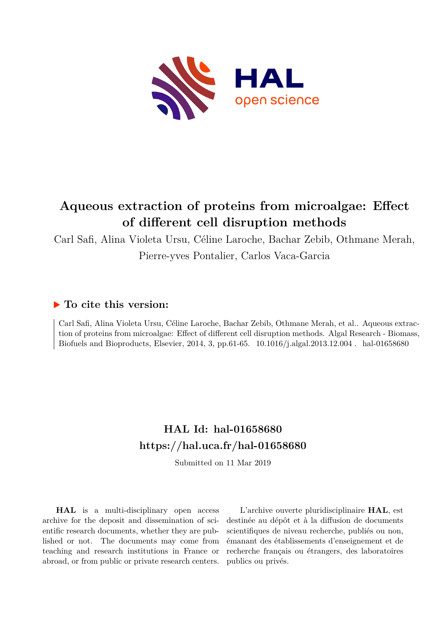

# **Aqueous extraction of proteins from microalgae: Effect of different cell disruption methods**

Carl Safi, Alina Violeta Ursu, Céline Laroche, Bachar Zebib, Othmane Merah,

Pierre-yves Pontalier, Carlos Vaca-Garcia

### **To cite this version:**

Carl Safi, Alina Violeta Ursu, Céline Laroche, Bachar Zebib, Othmane Merah, et al.. Aqueous extraction of proteins from microalgae: Effect of different cell disruption methods. Algal Research - Biomass, Biofuels and Bioproducts, Elsevier, 2014, 3, pp.61-65. 10.1016/j.algal.2013.12.004. hal-01658680

# **HAL Id: hal-01658680 <https://hal.uca.fr/hal-01658680>**

Submitted on 11 Mar 2019

**HAL** is a multi-disciplinary open access archive for the deposit and dissemination of scientific research documents, whether they are published or not. The documents may come from teaching and research institutions in France or abroad, or from public or private research centers.

L'archive ouverte pluridisciplinaire **HAL**, est destinée au dépôt et à la diffusion de documents scientifiques de niveau recherche, publiés ou non, émanant des établissements d'enseignement et de recherche français ou étrangers, des laboratoires publics ou privés.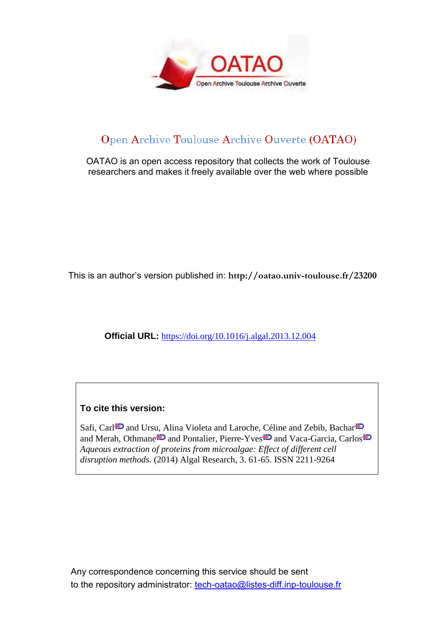

# Open Archive Toulouse Archive Ouverte (OATAO)

OATAO is an open access repository that collects the work of Toulouse researchers and makes it freely available over the web where possible

This is an author's version published in: **http://oatao.univ-toulouse.fr/23200**

**Official URL:** <https://doi.org/10.1016/j.algal.2013.12.004>

### **To cite this version:**

Safi, Car[l](http://www.idref.fr/177889527)<sup>-2</sup> and U[r](http://www.idref.fr/115142401)su, Alina Violeta and Laroche, Céline and Zebib, Bachar<sup>-2</sup> and M[e](http://www.idref.fr/18839771X)rah, Othmane<[s](http://www.idref.fr/079318487)up>-1</sup> and Pontalier, Pierre-Yves<sup>-1</sup> and Vaca-Garcia, Carlos<sup>-1</sup> *Aqueous extraction of proteins from microalgae: Effect of different cell disruption methods.* (2014) Algal Research, 3. 61-65. ISSN 2211-9264

Any correspondence concerning this service should be sent to the repository administrator: [tech-oatao@listes-diff.inp-toulouse.fr](mailto:tech-oatao@listes-diff.inp-toulouse.fr)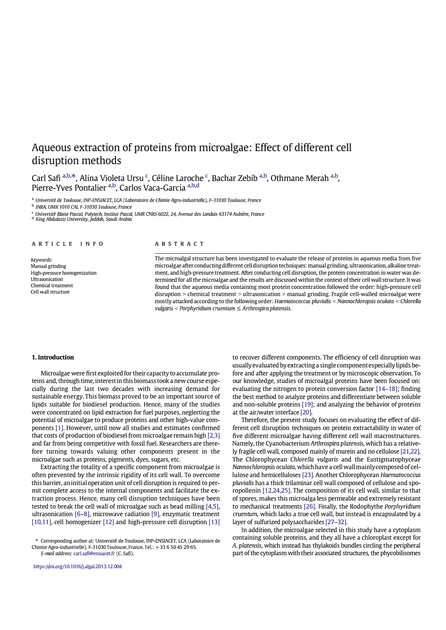## **Aqueous extraction of proteins from microalgae: Effect of different cell disruption methods**

Carl Safi<sup>a,b,\*</sup>, Alina Violeta Ursu<sup>c</sup>, Céline Laroche<sup>c</sup>, Bachar Zebib<sup>a,b</sup>, Othmane Merah<sup>a,b</sup> Pierre-Yves Pontalier <sup>a,b</sup>, Carlos Vaca-Garcia <sup>a,b,d</sup>

*a Université de Toulouse, INP-ENSIACET, LG\ (Laboratoire de Chimie Agro-industrielle), F-31030 Toulouse, France* 

*b INRA, UMR 1010 G\J, F-31030 Toulouse, France* 

<sup>c</sup> Université Blaise Pascal, Polytech, Institut Pascal, UMR CNRS 6022, 24, Avenue des Landais 63174 Aubière, France<br><sup>d</sup> King Abdulaziz University, Jeddah, Saudi Arabia

#### **ARTICLE INFO ABSTRACT**

*Keywords:*  Manual grinding High-pressure homogenization Ultrasonication Chemical treatment Cell wall structure

The microalgal structure has been investigated to evaluate the release of proteins in aqueous media from five microalgae after conducting different cell disruption techniques: manual grinding, ultrasonication, alkaline treatment, and high-pressure treatment. After conducting cell disruption, the protein concentration in water was determined for ail the microalgae and the results are discussed within the context of their cell wall structure. It was found that the aqueous media containing most protein concentration followed the order: high-pressure cell disruption > chemical treatment > ultrasonication > manual grinding. Fragile cell-walled microalgae were mostly attacked according to the following order: *Haematococcus pluvialis* < *Nannochloropsis oculata* < *Chlore/la vulgaris < Porphyridium cruentum ≤ Arthrospira platensis.* 

#### **1. Introduction**

Microalgae were first exploited for their capacity to accumulate proteins and, through time, interest in this biomass took a new course especially during the Iast two decades with increasing demand for sustainable energy. This biomass proved to be an important source of lipids suitable for biodiesel production. Hence, many of the studies were concentrated on lipid extraction for fuel purposes, neglecting the potential of microalgae to produce proteins and other high-value components [1]. However, until now ail studies and estimates confirmed that costs of production of biodiesel from microalgae remain high [2,3] and far from being competitive with fossil fuel. Researchers are therefore turning towards valuing other components present in the microalgae such as proteins, pigments, dyes, sugars, etc.

Extracting the totality of a specific component from microalgae is often prevented by the intrinsic rigidity of its cell wall. To overcome this barrier, an initial operation unit of cell disruption is required to permit complete access to the internai components and facilitate the extraction process. Hence, many cell disruption techniques have been tested to break the cell wall of microalgae such as bead milling [4,5], ultrasonication [6-8], microwave radiation [9], enzymatic treatment [10,11], cell homogenizer [12] and high-pressure cell disruption [13]

to recover different components. The efficiency of cell disruption was usually evaluated by extracting a single component especially lipids before and after applying the treatment or by microscopie observation. To our knowledge, studies of microalgal proteins have been focused on: evaluating the nitrogen to protein conversion factor [14-18]; finding the best method to analyze proteins and differentiate between soluble and non-soluble proteins  $[19]$ ; and analyzing the behavior of proteins at the air/water interface [20].

Therefore, the present study focuses on evaluating the effect of different cell disruption techniques on protein extractability in water of five different microalgae having different cell wall macrostructures. Namely, the CyanobacteriumArthrospira *platensis,* which has a relatively fragile cell wall, composed mainly of murein and no cellulose [21,22]. The Chlorophycean *Chlorella vulgaris* and the Eustigmatophyceae *Nannochloropsis oculata,* which have a cell wall mainly composed of cellulose and hemicelluloses [23]. Another Chlorophycean *Haematococcus pluvialis* has a thick trilaminar cell wall composed of cellulose and sporopollenin [ 12,24,25 ]. The composition of its cell wall, similar to that of spores, makes this microalga less permeable and extremely resistant to mechanical treatments [26]. Finally, the Rodophythe *Porphyridium cruentum,* which Jacks a true cell wall, but instead is encapsulated by a layer of sulfurized polysaccharides [27-32].

In addition, the microalgae selected in this study have a cytoplasm containing soluble proteins, and they ail have a chloroplast except for *A. platensis,* which instead has thylakoids bundles circling the peripheral part of the cytoplasm with their associated structures, the phycobilisomes

<sup>\*</sup> Corresponding author at: Université de Toulouse, INP-ENSIAŒf, LCA (Laboratoire de Chimie Agro-industrielle), F-31030 Toulouse, France. Tel.: +33 6 50 45 29 65. *E-mail address:* carl.safi@ensiacet.fr (C. Safi).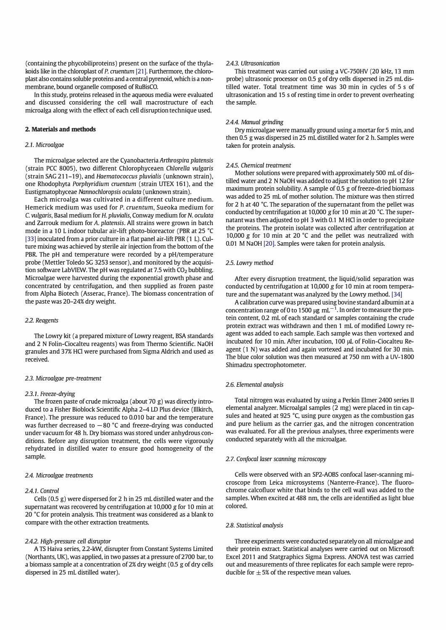( containing the phycobiliproteins) present on the surface of the thylakoids like in the chloroplast of *P. cruentum* [21 ]. Furthermore, the chloroplast also contains soluble proteins and a central pyrenoid, which is a nonmembrane, bound organelle composed of RuBisCO.

In this study, proteins released in the aqueous media were evaluated and discussed considering the cell wall macrostructure of each microalga along with the effect of each cell disruption technique used.

#### **2. Materials and methods**

### *2.1. Microalgae*

The microalgae selected are the Cyanobacteria *Arthrospira platensis*  (strain PCC 8005), two different Chlorophyceaen *Chlorella vulgaris*  (strain SAG 211-19), and *Haematococcus pluvialis* (unknown strain), one Rhodophyta *Porphyridium cruentum* (strain UTEX 161 ), and the Eustigmatophyceae *Nannochloropsis oculata* (unknown strain).

Each microalga was cultivated in a different culture medium. Hemerick medium was used for *P. cruentum,* Sueoka medium for C. *vulgaris,* Basal medium for *H. pluvialis,* Conway medium for *N. oculata* and Zarrouk medium for *A. platensis.* Ali strains were grown in batch mode in a 10 L indoor tubular air-lift photo-bioreactor (PBR at 25 °C [33] inoculated from a prior culture in a flat panel air-lift PBR (1 L). Culture mixing was achieved by sterile air injection from the bottom of the PBR. The pH and temperature were recorded by a pH/temperature probe (Mettler Toledo SG 3253 sensor), and monitored by the acquisition software LabVIEW. The pH was regulated at 7.5 with  $CO<sub>2</sub>$  bubbling. Microalgae were harvested during the exponential growth phase and concentrated by centrifugation, and then supplied as frozen paste from Alpha Biotech (Asserac, France). The biomass concentration of the paste was 20-24% dry weight.

#### *22. Reagents*

The Lowry kit ( a prepared mixture of Lowry reagent, BSA standards and 2 N Folin-Ciocalteu reagents) was from Thermo Scientific. NaOH granules and 37% HCl were purchased from Sigma Aldrich and used as received.

#### *2.3. Microalgae pre-treatment*

#### *2.3.1. Freeze-drying*

The frozen paste of crude microalga ( about 70 g) was directly introduced to a Fisher Bioblock Scientific Alpha 2-4 LD Plus device (Illkirch, France). The pressure was reduced to 0.010 bar and the temperature was further decreased to  $-80$  °C and freeze-drying was conducted under vacuum for 48 h. Dry biomass was stored under anhydrous conditions. Before any disruption treatment, the cells were vigorously rehydrated in distilled water to ensure good homogeneity of the sample.

#### *2.4. Microalgae treatments*

#### *2.4.1. Contrai*

Cells (0.5 g) were dispersed for 2 h in 25 mL distilled water and the supernatant was recovered by centrifugation at 10,000 *g* for 10 min at 20 °C for protein analysis. This treatment was considered as a blank to compare with the other extraction treatments.

#### *2.4.2. High-pressure cell disruptor*

A TS Haiva series, 2.2-kW, disrupter from Constant Systems Limited (Northants, UK), was applied, in two passes at a pressure of 2700 bar, to a biomass sample at a concentration of 2% dry weight (0.5 g of dry cells dispersed in 25 mL distilled water).

#### *2.4.3. Ultrasonication*

This treatment was carried out using a VC-750HV (20 kHz, 13 mm probe) ultrasonic processor on 0.5 g of dry cells dispersed in 25 mL distilled water. Total treatment time was 30 min in cycles of 5 s of ultrasonication and 15 s of resting time in order to prevent overheating the sample.

#### *2.4.4. Manual grinding*

Dry microalgae were manually ground using a mortar for 5 min, and then 0.5 g was dispersed in 25 mL distilled water for 2 h. Samples were taken for protein analysis.

#### *2.4.5. Chemical treatment*

Mother solutions were prepared with approximately 500 mL of distilled water and 2 N NaOH was added to adjust the solution to pH 12 for maximum protein solubility. A sample of 0.5 g of freeze-dried biomass was added to 25 mL of mother solution. The mixture was then stirred for 2 h at 40 °C. The separation of the supernatant from the pellet was conducted by centrifugation at 10,000 *g* for 10 min at 20 °C. The supernatant was then adjusted to pH 3 with 0.1 M HCI in order to precipitate the proteins. The protein isolate was collected after centrifugation at 10,000 *g* for 10 min at 20 °C and the pellet was neutralized with 0.01 M NaOH [20]. Samples were taken for protein analysis.

#### *2.5. Lowry method*

After every disruption treatment, the liquid/solid separation was conducted by centrifugation at 10,000 *g* for 10 min at room temperature and the supernatant was analyzed by the Lowry method. [34]

A calibration curve was prepared using bovine standard albumin at a concentration range of 0 to 1500  $\mu$ g mL $^{-1}$ . In order to measure the protein content, 0.2 mL of each standard or samples containing the crude protein extract was withdrawn and then 1 mL of modified Lowry reagent was added to each sample. Each sample was then vortexed and incubated for 10 min. After incubation, 100 µL of Folin-Ciocalteu Reagent (1 N) was added and again vortexed and incubated for 30 min. The blue color solution was then measured at 750 nm with a UV-1800 Shimadzu spectrophotometer.

#### *2.6. Elemental analysis*

Total nitrogen was evaluated by using a Perkin Elmer 2400 series II elemental analyzer. Microalgal samples (2 mg) were placed in tin capsules and heated at 925 °C, using pure oxygen as the combustion gas and pure helium as the carrier gas, and the nitrogen concentration was evaluated. For ail the previous analyses, three experiments were conducted separately with ail the microalgae.

#### 2.7. *Confocal laser scanning microscopy*

Cells were observed with an SP2-AOBS confocal laser-scanning microscope from Leica microsystems (Nanterre-France). The fluorochrome calcofluor white that binds to the cell wall was added to the samples. When excited at 488 nm, the cells are identified as light blue colored.

#### *2.8. Statistical analysis*

Three experiments were conducted separately on ail microalgae and their protein extract. Statistical analyses were carried out on Microsoft Excel 2011 and Statgraphics Sigma Express. ANOVA test was carried out and measurements of three replicates for each sample were reproducible for  $\pm$  5% of the respective mean values.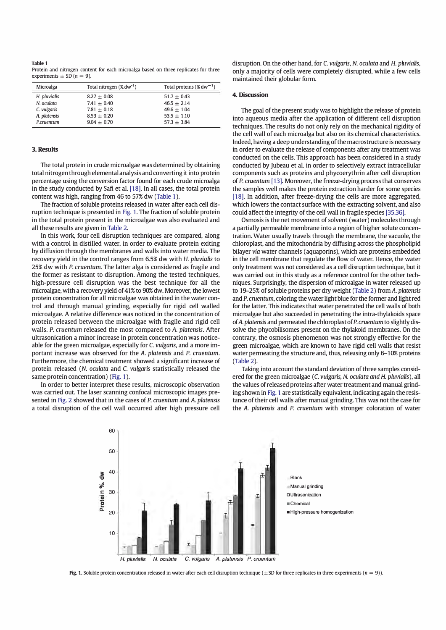| Tanic T                           |                                                                                     |
|-----------------------------------|-------------------------------------------------------------------------------------|
|                                   | Protein and nitrogen content for each microalga based on three replicates for three |
| experiments $\pm$ SD ( $n = 9$ ). |                                                                                     |

| Microalga    | Total nitrogen $(\text{\%}dw^{-1})$ | Total proteins $(\% \, dw^{-1})$ |
|--------------|-------------------------------------|----------------------------------|
| H. pluvialis | $8.27 \pm 0.08$                     | $51.7 \pm 0.43$                  |
| N. oculata   | $7.41 \pm 0.40$                     | $46.5 \pm 2.14$                  |
| C. vulgaris  | $7.81 \pm 0.18$                     | $49.6 \pm 1.04$                  |
| A. platensis | $8.53 \pm 0.20$                     | $53.5 \pm 1.10$                  |
| P.cruentum   | $9.04 \pm 0.70$                     | $57.3 \pm 3.84$                  |

#### **3.Results**

**Table 1** 

The total protein in crude microalgae was determined by obtaining total nitrogen through elemental analysis and converting it into protein percentage using the conversion factor found for each crude microalga in the study conducted by Safi et al. [18]. In all cases, the total protein content was high, ranging from 46 to 57% dw (Table 1 ).

The fraction of soluble proteins released in water after each cell disruption technique is presented in Fig. 1. The fraction of soluble protein in the total protein present in the microalgae was also evaluated and all these results are given in Table 2.

In this work, four cell disruption techniques are compared, along with a control in distilled water, in order to evaluate protein exiting by diffusion through the membranes and walls into water media. The recovery yield in the control ranges from 6.5% dw with *H. pluvialis* to 25% dw with *P. cruentum.* The latter alga is considered as fragile and the former as resistant to disruption. Among the tested techniques, high-pressure cell disruption was the best technique for all the microalgae, with a recovery yield of 41% to 90% dw. Moreover, the lowest protein concentration for ail microalgae was obtained in the water control and through manual grinding, especially for rigid cell walled microalgae. A relative difference was noticed in the concentration of protein released between the microalgae with fragile and rigid cell walls. *P. cruentum* released the most compared to *A. platensis.* After ultrasonication a minor increase in protein concentration was noticeable for the green microalgae, especially for C. *vulgaris,* and a more important increase was observed for the *A. platensis* and *P. cruentum.*  Furthermore, the chemical treatment showed a significant increase of protein released *(N. oculata* and C. *vulgaris* statistically released the same protein concentration) (Fig. 1 ).

In order to better interpret these results, microscopie observation was carried out. The laser scanning confocal microscopie images presented in Fig. 2 showed that in the cases of *P. cruentum* and *A. platensis*  a total disruption of the cell wall occurred after high pressure cell disruption. On the other hand, for C. *vulgaris, N. oculata* and H. *pluvialis,*  only a majority of cells were completely disrupted, while a few cells maintained their globular form.

#### **4. Discussion**

The goal of the present study was to highlight the release of protein into aqueous media after the application of different cell disruption techniques. The results do not only rely on the mechanical rigidity of the cell wall of each microalga but also on its chemical characteristics. Indeed, having a deep understanding of the macrostructure is necessary in order to evaluate the release of components after any treatment was conducted on the cells. This approach has been considered in a study conducted by Jubeau et al. in order to selectively extract intracellular components such as proteins and phycoerythrin after cell disruption of *P. cruentum* [13]. Moreover, the freeze-drying process that conserves the samples well makes the protein extraction harder for some species [18]. In addition, after freeze-drying the cells are more aggregated, which lowers the contact surface with the extracting solvent, and also could affect the integrity of the cell wall in fragile species [35,36].

Osmosis is the net movement of solvent (water) molecules through a partially permeable membrane into a region of higher solute concentration. Water usually travels through the membrane, the vacuole, the chloroplast, and the mitochondria by diffusing across the phospholipid bilayer via water channels (aquaporins), which are proteins embedded in the cell membrane that regulate the flow of water. Hence, the water only treatment was not considered as a cell disruption technique, but it was carried out in this study as a reference control for the other techniques. Surprisingly, the dispersion of microalgae in water released up to 19-25% of soluble proteins per dry weight (Table 2) fromA. *platensis*  and *P. cruentum,* coloring the water light blue for the former and light red for the latter. This indicates that water penetrated the cell walls of both microalgae but also succeeded in penetrating the intra-thylakoids space of *A. platensis* and permeated the chloroplast of *P. cruentum* to slightly dissolve the phycobilisomes present on the thylakoid membranes. On the contrary, the osmosis phenomenon was not strongly effective for the green microalgae, which are known to have rigid cell walls that resist water permeating the structure and, thus, releasing only 6-10% proteins (Table 2).

Taking into account the standard deviation of three samples considered for the green microalgae ( C. *vulgaris, N. oculata and* H. *pluvialis* ), ail the values of released proteins after water treatment and manual grinding shown in Fig. 1 are statistically equivalent, indicating again the resistance of their cell walls after manual grinding. This was not the case for the *A. platensis* and *P. cruentum* with stronger coloration of water



Fig. 1. Soluble protein concentration released in water after each cell disruption technique ( $\pm$ SD for three replicates in three experiments ( $n = 9$ ).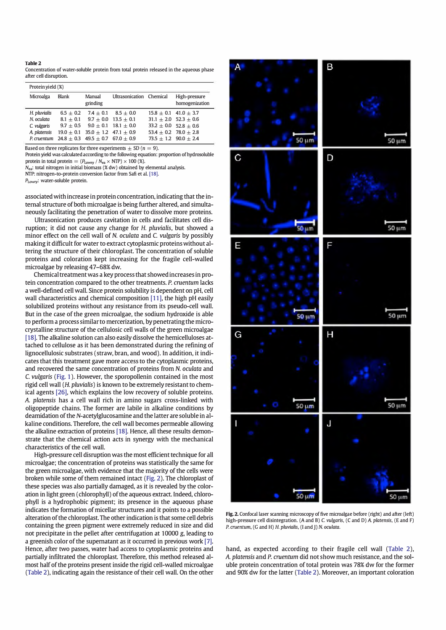#### **Table2**

Concentration of water-soluble protein from total protein released in the aqueous phase after cell disruption.

| Protein yield (%) |       |                                                          |                          |                               |                                 |  |  |
|-------------------|-------|----------------------------------------------------------|--------------------------|-------------------------------|---------------------------------|--|--|
| Microalga         | Blank | Manual<br>grinding                                       | Ultrasonication Chemical |                               | High-pressure<br>homogenization |  |  |
| H. pluvialis      |       | $6.5 \pm 0.2$ $7.4 \pm 0.1$ $8.5 \pm 0.0$                |                          | $15.8 \pm 0.1$ 41.0 $\pm$ 3.7 |                                 |  |  |
| N. oculata        |       | $8.1 \pm 0.1$ $9.7 \pm 0.0$ $13.5 \pm 0.1$               |                          |                               | $31.1 \pm 2.0$ 52.3 $\pm$ 0.6   |  |  |
| C. vulgaris       |       | $9.7 \pm 0.5$ $9.0 \pm 0.1$ $18.1 \pm 0.0$               |                          |                               | $33.2 \pm 0.0$ 52.8 $\pm$ 0.6   |  |  |
| A. platensis      |       | $19.0 \pm 0.1$ 35.0 $\pm$ 1.2 47.1 $\pm$ 0.9             |                          | $53.4 \pm 0.2$ 78.0 $\pm$ 2.8 |                                 |  |  |
|                   |       | P. cruentum $24.8 \pm 0.3$ 49.5 $\pm$ 0.7 67.0 $\pm$ 0.9 |                          |                               | $73.5 \pm 1.2$ 90.0 $\pm$ 2.4   |  |  |

Based on three replicates for three experiments  $\pm$  SD ( $n = 9$ ).

Protein yield was calculated according to the following equation: proportion of hydrosoluble protein in total protein =  $(P_{Lowry} / N_{ea} \times NTP) \times 100$  (%).

 $N_{\text{ea}}$ : total nitrogen in initial biomass (% dw) obtained by elemental analysis.

NTP: nitrogen-to-protein conversion factor from Safi et al. [18].  $P_{\text{Lowrv}}$ : water-soluble protein.

associated with increase in protein concentration, indicating that the internal structure of both microalgae is being further altered, and simultaneously facilitating the penetration of water to dissolve more proteins.

Ultrasonication produces cavitation in cells and facilitates cell disruption; it did not cause any change for *H. pluvialis,* but showed a minor effect on the cell wall of *N. oculata* and C. *vulgaris* by possibly making it difficult for water to extract cytoplasmic proteins without altering the structure of their chloroplast. The concentration of soluble proteins and coloration kept increasing for the fragile cell-walled microalgae by releasing **47-68%** dw.

Chemical treatment was a key process that showed increases in protein concentration compared to the other treatrnents. *P. cruentum* lacks a well-defined cell wall. Since protein solubility is dependent on pH, cell wall characteristics and chemical composition [11], the high pH easily solubilized proteins without any resistance from its pseudo-cell wall. But in the case of the green microalgae, the sodium hydroxide is able to perforrn a process similar to mercerization, by penetrating the microcrystalline structure of the cellulosic cell walls of the green microalgae [18]. The alkaline solution can also easily dissolve the hemicelluloses attached to cellulose as it has been demonstrated during the refining of lignocellulosic substrates (straw, bran, and wood). In addition, it indicates that this treatrnent gave more access to the cytoplasmic proteins, and recovered the same concentration of proteins from *N. oculata* and C. *vulgaris* (Fig. 1 ). However, the sporopollenin contained in the most rigid cell wall (H. *pluvialis)* is known to be extremely resistant to chemical agents [26], which explains the low recovery of soluble proteins. *A. platensis* has a cell wall rich in amino sugars cross-linked with oligopeptide chains. The former are labile in alkaline conditions by deamidation of the N-acetylglucosamine and the latter are soluble in alkaline conditions. Therefore, the cell wall becomes perrneable allowing the alkaline extraction of proteins [18]. Hence, all these results demonstrate that the chemical action acts in synergy with the mechanical characteristics of the cell wall.

High-pressure cell disruption was the most efficient technique for ail microalgae; the concentration of proteins was statistically the same for the green microalgae, with evidence that the majority of the cells were broken while some of them remained intact (Fig. 2). The chloroplast of these species was also partially damaged, as it is revealed by the coloration in light green (chlorophyll) of the aqueous extract. Indeed, chlorophyll is a hydrophobie pigment; its presence in the aqueous phase indicates the formation of micellar structures and it points to a possible alteration of the chloroplast. The other indication is that some cell debris containing the green pigment were extremely reduced in size and did not precipitate in the pellet after centrifugation at 10000 *g,* leading to a greenish color of the supernatant as it occurred in previous work [7]. Hence, after two passes, water had access to cytoplasmic proteins and partially infiltrated the chloroplast. Therefore, this method released almost half of the proteins present inside the rigid cell-walled microalgae (Table 2), indicating again the resistance of their cell wall. On the other



Fig. 2. Confocal laser scanning microscopy of five microalgae before (right) and after (left) high-pressure cell disintegration. (A and B) C. *vulgaris,* (C and D) *A. platensis,* (E and F) *P. cruentum, (G and H) H. pluvialis, (I and J) N. oculata.* 

hand, as expected according to their fragile cell wall (Table 2), *A. platensis* and *P. cruentum* did not show much resistance, and the soluble protein concentration of total protein was **78%** dw for the former and 90% dw for the latter (Table 2). Moreover, an important coloration